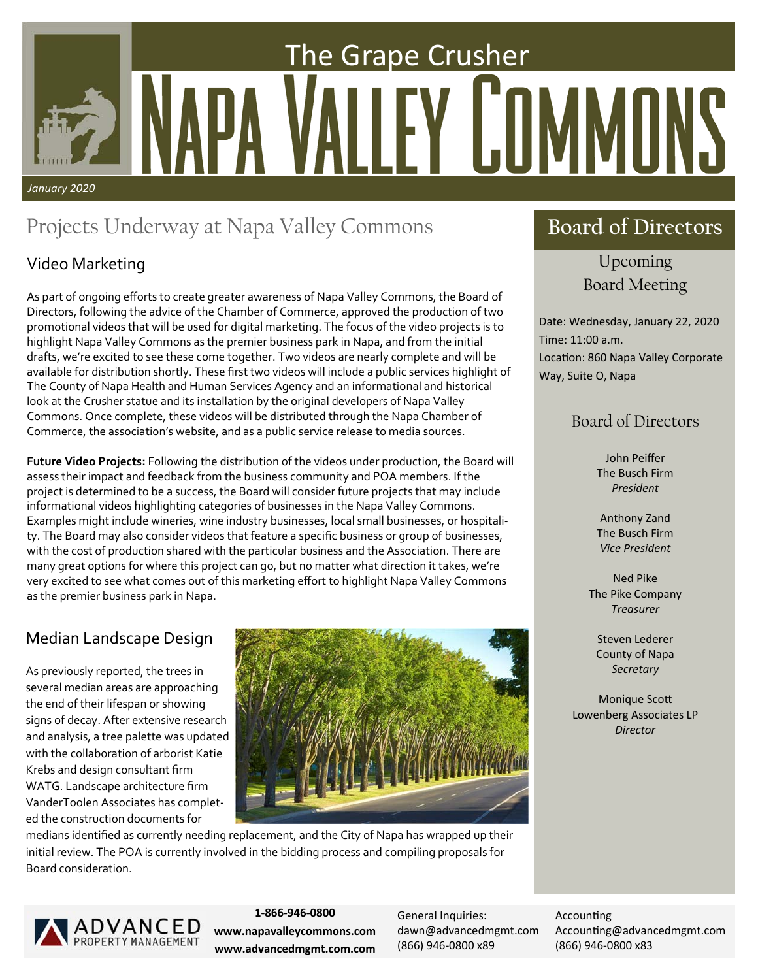# The Grape Crusher Y I.IIMMII *January 2020*

# Projects Underway at Napa Valley Commons

### Video Marketing

As part of ongoing efforts to create greater awareness of Napa Valley Commons, the Board of Directors, following the advice of the Chamber of Commerce, approved the production of two promotional videos that will be used for digital marketing. The focus of the video projects is to highlight Napa Valley Commons as the premier business park in Napa, and from the initial drafts, we're excited to see these come together. Two videos are nearly complete and will be available for distribution shortly. These first two videos will include a public services highlight of The County of Napa Health and Human Services Agency and an informational and historical look at the Crusher statue and its installation by the original developers of Napa Valley Commons. Once complete, these videos will be distributed through the Napa Chamber of Commerce, the association's website, and as a public service release to media sources.

**Future Video Projects:** Following the distribution of the videos under production, the Board will assess their impact and feedback from the business community and POA members. If the project is determined to be a success, the Board will consider future projects that may include informational videos highlighting categories of businesses in the Napa Valley Commons. Examples might include wineries, wine industry businesses, local small businesses, or hospitali‐ ty. The Board may also consider videos that feature a specific business or group of businesses, with the cost of production shared with the particular business and the Association. There are many great options for where this project can go, but no matter what direction it takes, we're very excited to see what comes out of this marketing effort to highlight Napa Valley Commons as the premier business park in Napa.

### Median Landscape Design

As previously reported, the trees in several median areas are approaching the end of their lifespan or showing signs of decay. After extensive research and analysis, a tree palette was updated with the collaboration of arborist Katie Krebs and design consultant firm WATG. Landscape architecture firm VanderToolen Associates has complet‐ ed the construction documents for



medians identified as currently needing replacement, and the City of Napa has wrapped up their initial review. The POA is currently involved in the bidding process and compiling proposals for Board consideration.

# **Board of Directors**

Upcoming Board Meeting

Date: Wednesday, January 22, 2020 Time: 11:00 a.m. Location: 860 Napa Valley Corporate Way, Suite O, Napa

### Board of Directors

John Peiffer The Busch Firm *President* 

Anthony Zand The Busch Firm *Vice President* 

Ned Pike The Pike Company *Treasurer* 

Steven Lederer County of Napa *Secretary* 

**Monique Scott** Lowenberg Associates LP *Director*



**1‐866‐946‐0800 www.napavalleycommons.com www.advancedmgmt.com.com**  General Inquiries: dawn@advancedmgmt.com (866) 946‐0800 x89

**Accounting** Accounting@advancedmgmt.com (866) 946‐0800 x83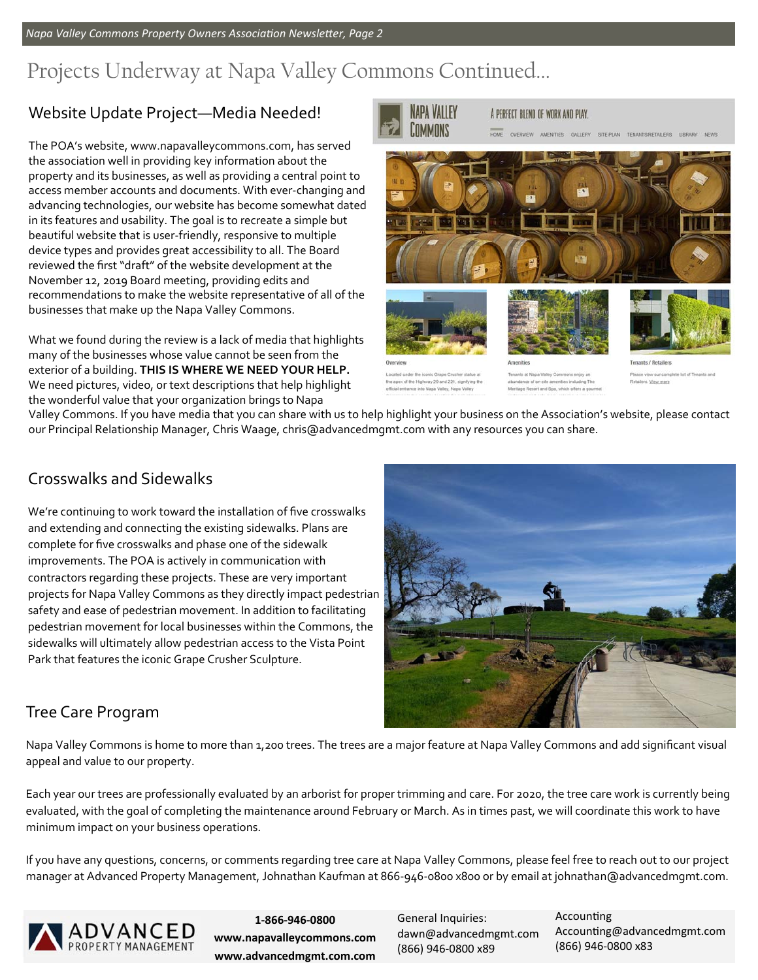*Napa Valley Commons Property Owners AssociaƟon NewsleƩer, Page 2* 

# Projects Underway at Napa Valley Commons Continued...

### Website Update Project—Media Needed!

The POA's website, www.napavalleycommons.com, has served the association well in providing key information about the property and its businesses, as well as providing a central point to access member accounts and documents. With ever‐changing and advancing technologies, our website has become somewhat dated in its features and usability. The goal is to recreate a simple but beautiful website that is user‐friendly, responsive to multiple device types and provides great accessibility to all. The Board reviewed the first "draft" of the website development at the November 12, 2019 Board meeting, providing edits and recommendations to make the website representative of all of the businesses that make up the Napa Valley Commons.

What we found during the review is a lack of media that highlights many of the businesses whose value cannot be seen from the exterior of a building. **THIS IS WHERE WE NEED YOUR HELP.**  We need pictures, video, or text descriptions that help highlight the wonderful value that your organization brings to Napa



A PERFECT BLEND OF WORK AND PLAY.

AMENTIES GALLERY SITE PLAN TENANTS/RETAILERS LIBRARY NEWS







ex of the Highway 29 and 221, signify<br>entrance into Napa Valley, Napa Valle

Tenants at Napa Valley Commons enjoy a sort and Spa, which offers a go

a list of Tenants and

Valley Commons. If you have media that you can share with us to help highlight your business on the Association's website, please contact our Principal Relationship Manager, Chris Waage, chris@advancedmgmt.com with any resources you can share.

### Crosswalks and Sidewalks

We're continuing to work toward the installation of five crosswalks and extending and connecting the existing sidewalks. Plans are complete for five crosswalks and phase one of the sidewalk improvements. The POA is actively in communication with contractors regarding these projects. These are very important projects for Napa Valley Commons as they directly impact pedestrian safety and ease of pedestrian movement. In addition to facilitating pedestrian movement for local businesses within the Commons, the sidewalks will ultimately allow pedestrian access to the Vista Point Park that features the iconic Grape Crusher Sculpture.



### Tree Care Program

Napa Valley Commons is home to more than 1,200 trees. The trees are a major feature at Napa Valley Commons and add significant visual appeal and value to our property.

Each year our trees are professionally evaluated by an arborist for proper trimming and care. For 2020, the tree care work is currently being evaluated, with the goal of completing the maintenance around February or March. As in times past, we will coordinate this work to have minimum impact on your business operations.

If you have any questions, concerns, or comments regarding tree care at Napa Valley Commons, please feel free to reach out to our project manager at Advanced Property Management, Johnathan Kaufman at 866‐946‐0800 x800 or by email at johnathan@advancedmgmt.com.



**1‐866‐946‐0800 www.napavalleycommons.com www.advancedmgmt.com.com**  General Inquiries: dawn@advancedmgmt.com (866) 946‐0800 x89

**Accounting** Accounting@advancedmgmt.com (866) 946‐0800 x83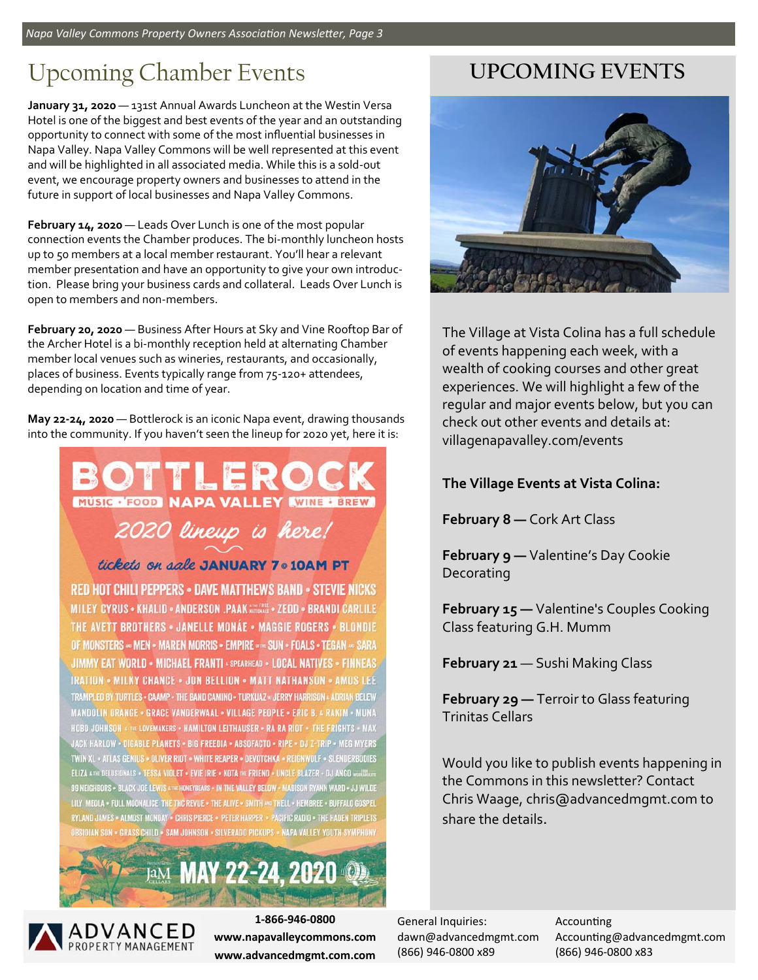*Napa Valley Commons Property Owners AssociaƟon NewsleƩer, Page 3* 

# Upcoming Chamber Events

January 31, 2020 - 131st Annual Awards Luncheon at the Westin Versa Hotel is one of the biggest and best events of the year and an outstanding opportunity to connect with some of the most influential businesses in Napa Valley. Napa Valley Commons will be well represented at this event and will be highlighted in all associated media. While this is a sold‐out event, we encourage property owners and businesses to attend in the future in support of local businesses and Napa Valley Commons.

**February 14, 2020** — Leads Over Lunch is one of the most popular connection events the Chamber produces. The bi‐monthly luncheon hosts up to 50 members at a local member restaurant. You'll hear a relevant member presentation and have an opportunity to give your own introduc‐ tion. Please bring your business cards and collateral. Leads Over Lunch is open to members and non‐members.

**February 20, 2020** — Business After Hours at Sky and Vine Rooftop Bar of the Archer Hotel is a bi‐monthly reception held at alternating Chamber member local venues such as wineries, restaurants, and occasionally, places of business. Events typically range from 75-120+ attendees, depending on location and time of year.

**May 22‐24, 2020** — Bottlerock is an iconic Napa event, drawing thousands into the community. If you haven't seen the lineup for 2020 yet, here it is:

## MUSIC . FOOD NAPA VALLEY WINE : BREW 2020 lineup is here! tickets on aale JANUARY 7 . 10AM PT **RED HOT CHILI PEPPERS . DAVE MATTHEWS BAND . STEVIE NICKS** MILEY CYRUS . KHALID . ANDERSON .PAAK MATOMALE . ZEDD . BRANDI CARLILE THE AVETT BROTHERS . JANELLE MONÁE . MAGGIE ROGERS . BLONDIE OF MONSTERS << MEN < MAREN MORRIS + EMPIRE << SUN + FOALS + TEGAN << SARA JIMMY EAT WORLD . MICHAEL FRANTI . SPEARHEAD . LOCAL NATIVES . FINNEAS IRATION • MILKY CHANCE • JON BELLION • MATT NATHANSON • AMOS LEE TRAMPLED BY TURTLES . CAAMP . THE BAND CAMINO . TURKUAZ . JERRY HARRISON . ADRIAN BELEW

MANDOLIN ORANGE - GRACE VANDERWAAL - VILLAGE PEOPLE - ERIC B. & RAKIM - MUNA HOBO JOHNSON & THE LOVEMAKERS . HAMILTON LEITHAUSER . RA RA RIOT . THE FRIGHTS . MAX JACK HARLOW - DIGABLE PLANETS - BIG FREEDIA - ABSOFACTO - RIPE - DJ Z-TRIP - MEG MYERS TWIN XL . ATLAS GENIUS . DLIVER RIOT . WHITE REAPER . DEVOTCHKA . REIGNWOLF . SLENDERBODIES ELIZA A THE DELUSIONALS = TESSA VIOLET = EVIE IRIE = KOTA THE FRIEND = UNCLE BLAZER + DJ ANGO worldte 99 NEIGHBORS . BLACK JOE LEWIS . THE HONEYBEARS . IN THE VALLEY BELOW . MADISON RYANN WARD . JJ WILDE LILY MEDLA . FULL MOONALICE THE THE REVUE . THE ALIVE . SMITH AND THELL . HEMBREE . BUFFALD GOSPEL RYLAND JAMES - ALMOST MONDAY - CHRIS PIERCE - PETER HARPER - PACIFIC RADIO - THE HADEN TRIPLETS OBSIDIAN SON - GRASS CHILD - SAM JOHNSON - SILVERADO PICKUPS - NAPA VALLEY YOUTH SYMPHONY

JaM MAY 22-24, 2020

# **UPCOMING EVENTS**



The Village at Vista Colina has a full schedule of events happening each week, with a wealth of cooking courses and other great experiences. We will highlight a few of the regular and major events below, but you can check out other events and details at: villagenapavalley.com/events

### **The Village Events at Vista Colina:**

**February 8 —** Cork Art Class

**February 9 —** Valentine's Day Cookie Decorating

**February 15 —** Valentine's Couples Cooking Class featuring G.H. Mumm

**February 21** — Sushi Making Class

**February 29 —** Terroir to Glass featuring Trinitas Cellars

Would you like to publish events happening in the Commons in this newsletter? Contact Chris Waage, chris@advancedmgmt.com to share the details.



**1‐866‐946‐0800 www.napavalleycommons.com www.advancedmgmt.com.com** 

General Inquiries: dawn@advancedmgmt.com (866) 946‐0800 x89

**Accounting** Accounting@advancedmgmt.com (866) 946‐0800 x83